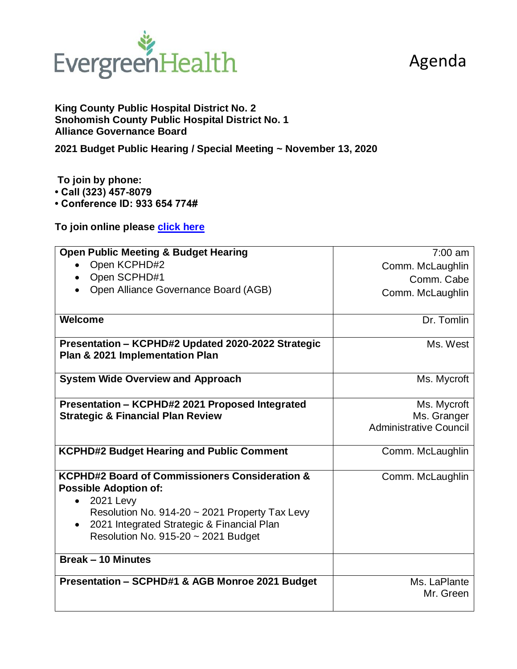## Agenda



**King County Public Hospital District No. 2 Snohomish County Public Hospital District No. 1 Alliance Governance Board**

**2021 Budget Public Hearing / Special Meeting ~ November 13, 2020**

**To join by phone:** 

**• Call (323) 457-8079** 

**• Conference ID: 933 654 774#**

**To join online please click here**

| <b>Open Public Meeting &amp; Budget Hearing</b>                                           | $7:00$ am                     |
|-------------------------------------------------------------------------------------------|-------------------------------|
| Open KCPHD#2                                                                              | Comm. McLaughlin              |
| Open SCPHD#1<br>$\bullet$                                                                 | Comm. Cabe                    |
| Open Alliance Governance Board (AGB)                                                      | Comm. McLaughlin              |
|                                                                                           |                               |
| <b>Welcome</b>                                                                            | Dr. Tomlin                    |
| Presentation - KCPHD#2 Updated 2020-2022 Strategic<br>Plan & 2021 Implementation Plan     | Ms. West                      |
| <b>System Wide Overview and Approach</b>                                                  | Ms. Mycroft                   |
| Presentation - KCPHD#2 2021 Proposed Integrated                                           | Ms. Mycroft                   |
| <b>Strategic &amp; Financial Plan Review</b>                                              | Ms. Granger                   |
|                                                                                           | <b>Administrative Council</b> |
| <b>KCPHD#2 Budget Hearing and Public Comment</b>                                          | Comm. McLaughlin              |
| <b>KCPHD#2 Board of Commissioners Consideration &amp;</b><br><b>Possible Adoption of:</b> | Comm. McLaughlin              |
| <b>2021 Levy</b><br>$\bullet$                                                             |                               |
| Resolution No. 914-20 ~ 2021 Property Tax Levy                                            |                               |
| 2021 Integrated Strategic & Financial Plan<br>$\bullet$                                   |                               |
| Resolution No. 915-20 ~ 2021 Budget                                                       |                               |
| <b>Break - 10 Minutes</b>                                                                 |                               |
| Presentation - SCPHD#1 & AGB Monroe 2021 Budget                                           | Ms. LaPlante                  |
|                                                                                           | Mr. Green                     |
|                                                                                           |                               |